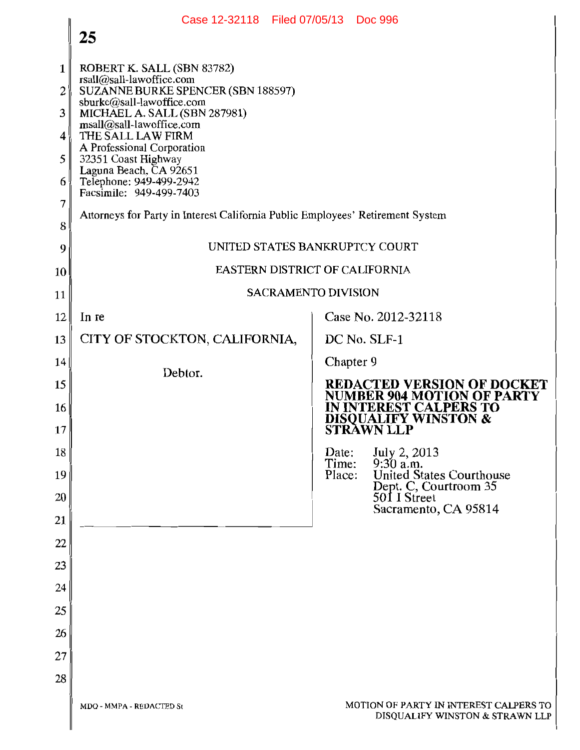|          | Case 12-32118 Filed 07/05/13 Doc 996                                                        |                                                                                |  |  |  |  |  |
|----------|---------------------------------------------------------------------------------------------|--------------------------------------------------------------------------------|--|--|--|--|--|
|          | 25                                                                                          |                                                                                |  |  |  |  |  |
| 1        | ROBERT K. SALL (SBN 83782)                                                                  |                                                                                |  |  |  |  |  |
| 2        | rsall@sall-lawoffice.com<br>SUZANNE BURKE SPENCER (SBN 188597)<br>sburke@sall-lawoffice.com |                                                                                |  |  |  |  |  |
| 3        | MICHAEL A. SALL (SBN 287981)<br>msall@sall-lawoffice.com                                    |                                                                                |  |  |  |  |  |
| 4        | THE SALL LAW FIRM<br>A Professional Corporation                                             |                                                                                |  |  |  |  |  |
| 5        | 32351 Coast Highway<br>Laguna Beach, CA 92651                                               |                                                                                |  |  |  |  |  |
| 6<br>7   | Telephone: 949-499-2942<br>Facsimile: 949-499-7403                                          |                                                                                |  |  |  |  |  |
| 8        | Attorneys for Party in Interest California Public Employees' Retirement System              |                                                                                |  |  |  |  |  |
| 9        |                                                                                             | UNITED STATES BANKRUPTCY COURT                                                 |  |  |  |  |  |
| 10       |                                                                                             | EASTERN DISTRICT OF CALIFORNIA                                                 |  |  |  |  |  |
| 11       |                                                                                             | <b>SACRAMENTO DIVISION</b>                                                     |  |  |  |  |  |
| 12       | In re                                                                                       | Case No. 2012-32118                                                            |  |  |  |  |  |
| 13       | CITY OF STOCKTON, CALIFORNIA,                                                               | DC No. SLF-1                                                                   |  |  |  |  |  |
| 14       | Debtor.                                                                                     | Chapter 9                                                                      |  |  |  |  |  |
| 15       |                                                                                             | <b>REDACTED VERSION OF DOCKET</b><br><b>NUMBER 904 MOTION OF PARTY</b>         |  |  |  |  |  |
| 16<br>17 |                                                                                             | IN INTEREST CALPERS TO<br><b>DISQUALIFY WINSTON &amp;</b><br><b>STRÀWN LLP</b> |  |  |  |  |  |
| 18       |                                                                                             | July 2, 2013<br>9:30 a.m.<br>Date:                                             |  |  |  |  |  |
| 19       |                                                                                             | Time:<br><b>United States Courthouse</b><br>Place:                             |  |  |  |  |  |
| 20       |                                                                                             | Dept. C, Courtroom 35<br>501 I Street<br>Sacramento, CA 95814                  |  |  |  |  |  |
| 21       |                                                                                             |                                                                                |  |  |  |  |  |
| 22       |                                                                                             |                                                                                |  |  |  |  |  |
| 23       |                                                                                             |                                                                                |  |  |  |  |  |
| 24<br>25 |                                                                                             |                                                                                |  |  |  |  |  |
| 26       |                                                                                             |                                                                                |  |  |  |  |  |
| 27       |                                                                                             |                                                                                |  |  |  |  |  |
| 28       |                                                                                             |                                                                                |  |  |  |  |  |
|          | MDQ - MMPA - REDACTED St                                                                    | MOTION OF PARTY IN INTEREST CALPERS TO<br>DISQUALIFY WINSTON & STRAWN LLP      |  |  |  |  |  |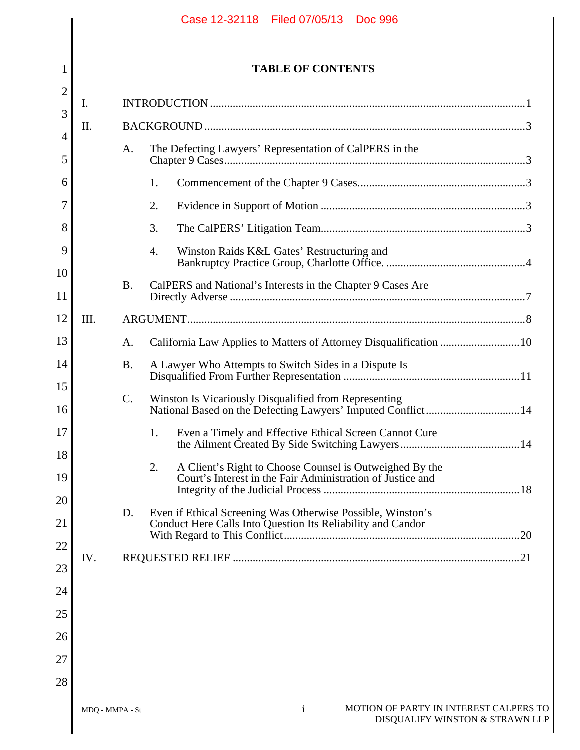|                                                                                      |           | <b>TABLE OF CONTENTS</b>                                                                                                    |  |
|--------------------------------------------------------------------------------------|-----------|-----------------------------------------------------------------------------------------------------------------------------|--|
| I.                                                                                   |           |                                                                                                                             |  |
| II.                                                                                  |           |                                                                                                                             |  |
| $\overline{4}$<br>The Defecting Lawyers' Representation of CalPERS in the<br>A.      |           |                                                                                                                             |  |
|                                                                                      |           | 1.                                                                                                                          |  |
|                                                                                      |           | 2.                                                                                                                          |  |
|                                                                                      |           | 3.                                                                                                                          |  |
|                                                                                      |           | Winston Raids K&L Gates' Restructuring and<br>4.                                                                            |  |
|                                                                                      | <b>B.</b> | CalPERS and National's Interests in the Chapter 9 Cases Are                                                                 |  |
| III.                                                                                 |           |                                                                                                                             |  |
|                                                                                      | A.        | California Law Applies to Matters of Attorney Disqualification 10                                                           |  |
|                                                                                      | <b>B.</b> | A Lawyer Who Attempts to Switch Sides in a Dispute Is                                                                       |  |
| 15<br>Winston Is Vicariously Disqualified from Representing<br>$\mathcal{C}$ .<br>16 |           | National Based on the Defecting Lawyers' Imputed Conflict14                                                                 |  |
|                                                                                      |           | Even a Timely and Effective Ethical Screen Cannot Cure<br>1.                                                                |  |
|                                                                                      |           | A Client's Right to Choose Counsel is Outweighed By the<br>2.<br>Court's Interest in the Fair Administration of Justice and |  |
|                                                                                      | D.        | Even if Ethical Screening Was Otherwise Possible, Winston's<br>Conduct Here Calls Into Question Its Reliability and Candor  |  |
| 22<br>IV.<br>23                                                                      |           |                                                                                                                             |  |
|                                                                                      |           |                                                                                                                             |  |
|                                                                                      |           |                                                                                                                             |  |
|                                                                                      |           |                                                                                                                             |  |
|                                                                                      |           |                                                                                                                             |  |
|                                                                                      |           |                                                                                                                             |  |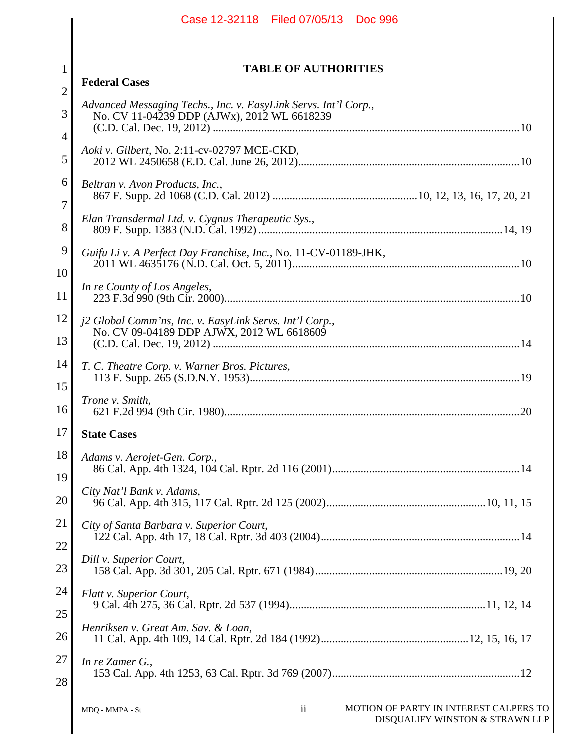|                                | Case 12-32118 Filed 07/05/13 Doc 996                                                                           |  |  |  |
|--------------------------------|----------------------------------------------------------------------------------------------------------------|--|--|--|
|                                |                                                                                                                |  |  |  |
| $\mathbf{1}$<br>$\overline{2}$ | <b>TABLE OF AUTHORITIES</b><br><b>Federal Cases</b>                                                            |  |  |  |
| 3<br>4                         | Advanced Messaging Techs., Inc. v. EasyLink Servs. Int'l Corp.,<br>No. CV 11-04239 DDP (AJWx), 2012 WL 6618239 |  |  |  |
| 5                              | Aoki v. Gilbert, No. 2:11-cv-02797 MCE-CKD,                                                                    |  |  |  |
| 6<br>7                         | Beltran v. Avon Products, Inc.,                                                                                |  |  |  |
| 8                              | Elan Transdermal Ltd. v. Cygnus Therapeutic Sys.,                                                              |  |  |  |
| 9<br>10                        | Guifu Li v. A Perfect Day Franchise, Inc., No. 11-CV-01189-JHK,                                                |  |  |  |
| 11                             | In re County of Los Angeles,                                                                                   |  |  |  |
| 12<br>13                       | j2 Global Comm'ns, Inc. v. EasyLink Servs. Int'l Corp.,<br>No. CV 09-04189 DDP AJWX, 2012 WL 6618609           |  |  |  |
| 14<br>15                       | T. C. Theatre Corp. v. Warner Bros. Pictures,                                                                  |  |  |  |
| 16                             | Trone v. Smith,                                                                                                |  |  |  |
| 17                             | <b>State Cases</b>                                                                                             |  |  |  |
| 18<br>19                       | Adams v. Aerojet-Gen. Corp.,                                                                                   |  |  |  |
| 20                             | City Nat'l Bank v. Adams,                                                                                      |  |  |  |
| 21<br>22                       | City of Santa Barbara v. Superior Court,                                                                       |  |  |  |
| 23                             | Dill v. Superior Court,                                                                                        |  |  |  |
| 24                             | Flatt v. Superior Court,                                                                                       |  |  |  |
| 25<br>26                       | Henriksen v. Great Am. Sav. & Loan,                                                                            |  |  |  |
| 27<br>28                       | In re Zamer G.,                                                                                                |  |  |  |
|                                | ii<br>MOTION OF PARTY IN INTEREST CALPERS TO<br>MDQ - MMPA - St<br>DISQUALIFY WINSTON & STRAWN LLP             |  |  |  |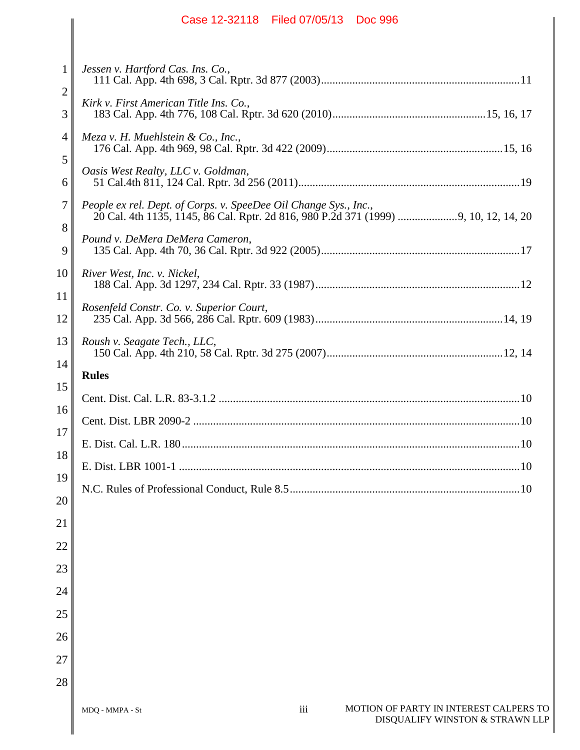|                                                              | Case 12-32118 Filed 07/05/13 Doc 996                                                                                                                                                                                        |
|--------------------------------------------------------------|-----------------------------------------------------------------------------------------------------------------------------------------------------------------------------------------------------------------------------|
| $\mathbf{1}$<br>$\overline{2}$<br>3<br>4<br>5<br>6<br>7<br>8 | Jessen v. Hartford Cas. Ins. Co.,<br>Kirk v. First American Title Ins. Co.,<br>Meza v. H. Muehlstein & Co., Inc.,<br>Oasis West Realty, LLC v. Goldman,<br>People ex rel. Dept. of Corps. v. SpeeDee Oil Change Sys., Inc., |
| 9                                                            | Pound v. DeMera DeMera Cameron,                                                                                                                                                                                             |
| 10<br>11<br>12<br>13                                         | River West, Inc. v. Nickel,<br>Rosenfeld Constr. Co. v. Superior Court,<br>Roush v. Seagate Tech., LLC,                                                                                                                     |
| 14                                                           | <b>Rules</b>                                                                                                                                                                                                                |
| 15<br>16<br>17<br>18<br>19                                   |                                                                                                                                                                                                                             |
| 20<br>21<br>22<br>23                                         |                                                                                                                                                                                                                             |
| 24<br>25<br>26<br>27                                         |                                                                                                                                                                                                                             |
| 28                                                           | MOTION OF PARTY IN INTEREST CALPERS TO<br>iii<br>MDQ - MMPA - St                                                                                                                                                            |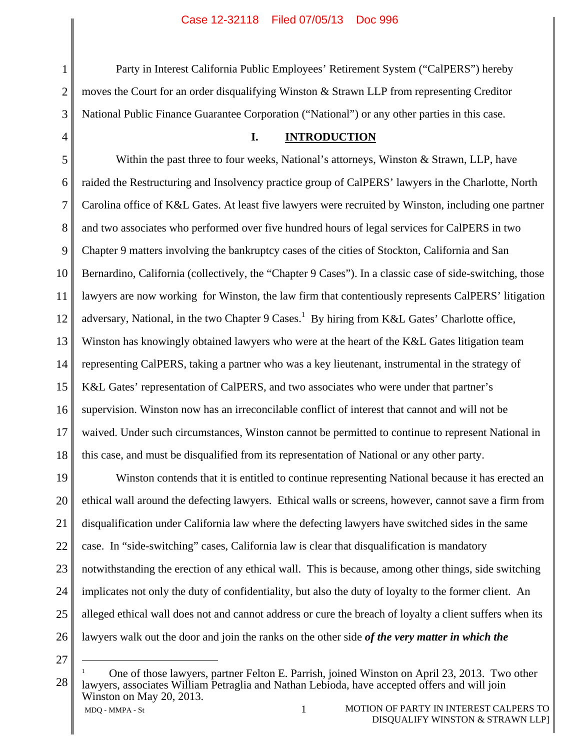Party in Interest California Public Employees' Retirement System ("CalPERS") hereby moves the Court for an order disqualifying Winston & Strawn LLP from representing Creditor National Public Finance Guarantee Corporation ("National") or any other parties in this case.

#### **I. INTRODUCTION**

5 6 7 8 9 10 11 12 13 14 15 16 17 18 Within the past three to four weeks, National's attorneys, Winston & Strawn, LLP, have raided the Restructuring and Insolvency practice group of CalPERS' lawyers in the Charlotte, North Carolina office of K&L Gates. At least five lawyers were recruited by Winston, including one partner and two associates who performed over five hundred hours of legal services for CalPERS in two Chapter 9 matters involving the bankruptcy cases of the cities of Stockton, California and San Bernardino, California (collectively, the "Chapter 9 Cases"). In a classic case of side-switching, those lawyers are now working for Winston, the law firm that contentiously represents CalPERS' litigation adversary, National, in the two Chapter 9 Cases.<sup>1</sup> By hiring from K&L Gates' Charlotte office, Winston has knowingly obtained lawyers who were at the heart of the K&L Gates litigation team representing CalPERS, taking a partner who was a key lieutenant, instrumental in the strategy of K&L Gates' representation of CalPERS, and two associates who were under that partner's supervision. Winston now has an irreconcilable conflict of interest that cannot and will not be waived. Under such circumstances, Winston cannot be permitted to continue to represent National in this case, and must be disqualified from its representation of National or any other party.

19 20 21 22 23 24 25 26 Winston contends that it is entitled to continue representing National because it has erected an ethical wall around the defecting lawyers. Ethical walls or screens, however, cannot save a firm from disqualification under California law where the defecting lawyers have switched sides in the same case. In "side-switching" cases, California law is clear that disqualification is mandatory notwithstanding the erection of any ethical wall. This is because, among other things, side switching implicates not only the duty of confidentiality, but also the duty of loyalty to the former client. An alleged ethical wall does not and cannot address or cure the breach of loyalty a client suffers when its lawyers walk out the door and join the ranks on the other side *of the very matter in which the* 

27

1

2

3

MDO - MMPA - St 1 MOTION OF PARTY IN INTEREST CALPERS TO 28 1 One of those lawyers, partner Felton E. Parrish, joined Winston on April 23, 2013. Two other lawyers, associates William Petraglia and Nathan Lebioda, have accepted offers and will join Winston on May 20, 2013.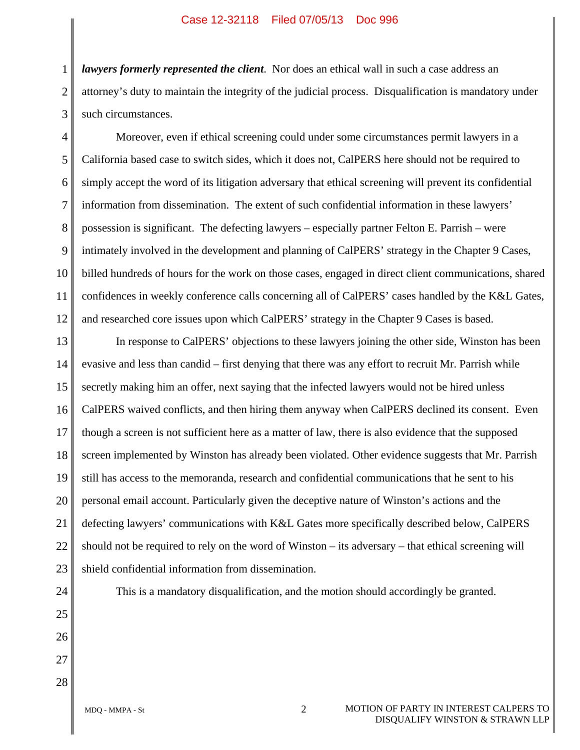1 2 3 *lawyers formerly represented the client*. Nor does an ethical wall in such a case address an attorney's duty to maintain the integrity of the judicial process. Disqualification is mandatory under such circumstances.

4 5 6 7 8 9 10 11 12 Moreover, even if ethical screening could under some circumstances permit lawyers in a California based case to switch sides, which it does not, CalPERS here should not be required to simply accept the word of its litigation adversary that ethical screening will prevent its confidential information from dissemination. The extent of such confidential information in these lawyers' possession is significant. The defecting lawyers – especially partner Felton E. Parrish – were intimately involved in the development and planning of CalPERS' strategy in the Chapter 9 Cases, billed hundreds of hours for the work on those cases, engaged in direct client communications, shared confidences in weekly conference calls concerning all of CalPERS' cases handled by the K&L Gates, and researched core issues upon which CalPERS' strategy in the Chapter 9 Cases is based.

13 14 15 16 17 18 19 20 21 22 In response to CalPERS' objections to these lawyers joining the other side, Winston has been evasive and less than candid – first denying that there was any effort to recruit Mr. Parrish while secretly making him an offer, next saying that the infected lawyers would not be hired unless CalPERS waived conflicts, and then hiring them anyway when CalPERS declined its consent. Even though a screen is not sufficient here as a matter of law, there is also evidence that the supposed screen implemented by Winston has already been violated. Other evidence suggests that Mr. Parrish still has access to the memoranda, research and confidential communications that he sent to his personal email account. Particularly given the deceptive nature of Winston's actions and the defecting lawyers' communications with K&L Gates more specifically described below, CalPERS should not be required to rely on the word of Winston – its adversary – that ethical screening will shield confidential information from dissemination.

28

This is a mandatory disqualification, and the motion should accordingly be granted.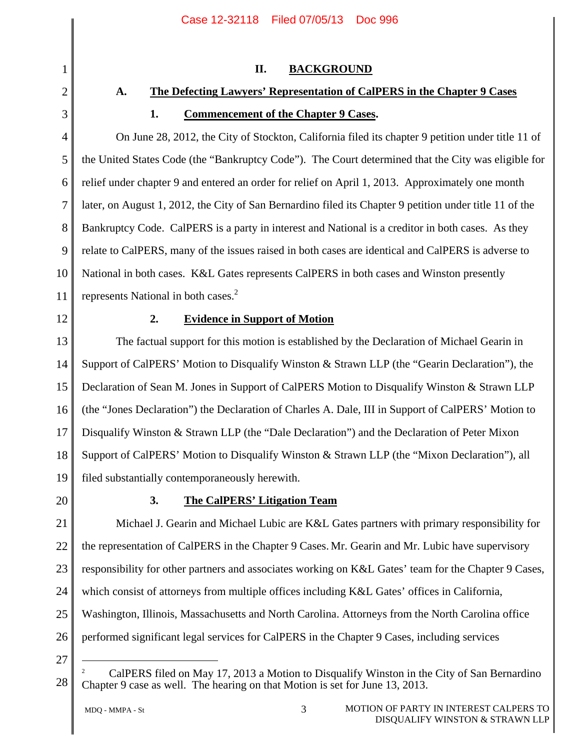## **II. BACKGROUND**

## **A. The Defecting Lawyers' Representation of CalPERS in the Chapter 9 Cases**

# **1. Commencement of the Chapter 9 Cases.**

On June 28, 2012, the City of Stockton, California filed its chapter 9 petition under title 11 of the United States Code (the "Bankruptcy Code"). The Court determined that the City was eligible for relief under chapter 9 and entered an order for relief on April 1, 2013. Approximately one month later, on August 1, 2012, the City of San Bernardino filed its Chapter 9 petition under title 11 of the Bankruptcy Code. CalPERS is a party in interest and National is a creditor in both cases. As they relate to CalPERS, many of the issues raised in both cases are identical and CalPERS is adverse to National in both cases. K&L Gates represents CalPERS in both cases and Winston presently represents National in both cases.<sup>2</sup>

12

1

2

3

4

5

6

7

8

9

10

11

## **2. Evidence in Support of Motion**

13 14 15 16 17 18 19 The factual support for this motion is established by the Declaration of Michael Gearin in Support of CalPERS' Motion to Disqualify Winston & Strawn LLP (the "Gearin Declaration"), the Declaration of Sean M. Jones in Support of CalPERS Motion to Disqualify Winston & Strawn LLP (the "Jones Declaration") the Declaration of Charles A. Dale, III in Support of CalPERS' Motion to Disqualify Winston & Strawn LLP (the "Dale Declaration") and the Declaration of Peter Mixon Support of CalPERS' Motion to Disqualify Winston & Strawn LLP (the "Mixon Declaration"), all filed substantially contemporaneously herewith.

20

## **3. The CalPERS' Litigation Team**

21 22 23 24 25 26 Michael J. Gearin and Michael Lubic are K&L Gates partners with primary responsibility for the representation of CalPERS in the Chapter 9 Cases. Mr. Gearin and Mr. Lubic have supervisory responsibility for other partners and associates working on K&L Gates' team for the Chapter 9 Cases, which consist of attorneys from multiple offices including K&L Gates' offices in California, Washington, Illinois, Massachusetts and North Carolina. Attorneys from the North Carolina office performed significant legal services for CalPERS in the Chapter 9 Cases, including services

27

<sup>2</sup> CalPERS filed on May 17, 2013 a Motion to Disqualify Winston in the City of San Bernardino Chapter 9 case as well. The hearing on that Motion is set for June 13, 2013.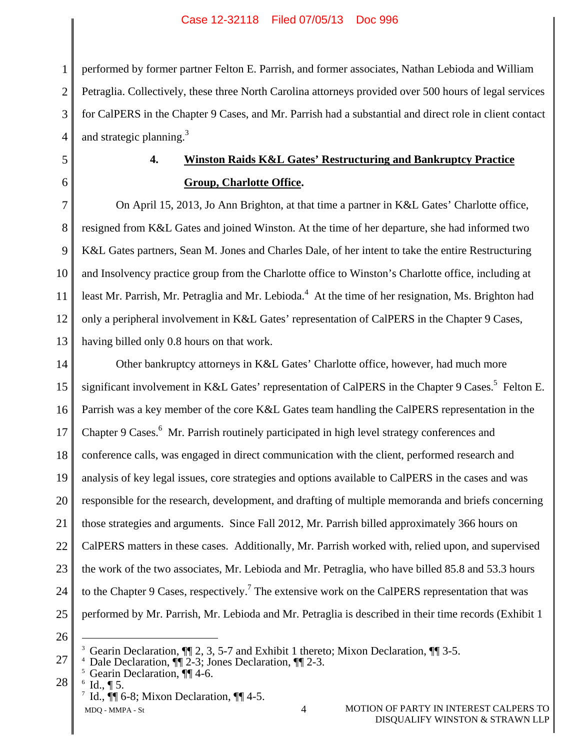1 2 3 4 performed by former partner Felton E. Parrish, and former associates, Nathan Lebioda and William Petraglia. Collectively, these three North Carolina attorneys provided over 500 hours of legal services for CalPERS in the Chapter 9 Cases, and Mr. Parrish had a substantial and direct role in client contact and strategic planning. $3$ 

5 6

# **4. Winston Raids K&L Gates' Restructuring and Bankruptcy Practice Group, Charlotte Office.**

7 8 9 10 11 12 13 On April 15, 2013, Jo Ann Brighton, at that time a partner in K&L Gates' Charlotte office, resigned from K&L Gates and joined Winston. At the time of her departure, she had informed two K&L Gates partners, Sean M. Jones and Charles Dale, of her intent to take the entire Restructuring and Insolvency practice group from the Charlotte office to Winston's Charlotte office, including at least Mr. Parrish, Mr. Petraglia and Mr. Lebioda.<sup>4</sup> At the time of her resignation, Ms. Brighton had only a peripheral involvement in K&L Gates' representation of CalPERS in the Chapter 9 Cases, having billed only 0.8 hours on that work.

14 15 16 17 18 19 20 21 22 23 24 25 Other bankruptcy attorneys in K&L Gates' Charlotte office, however, had much more significant involvement in K&L Gates' representation of CalPERS in the Chapter 9 Cases.<sup>5</sup> Felton E. Parrish was a key member of the core K&L Gates team handling the CalPERS representation in the Chapter 9 Cases.<sup>6</sup> Mr. Parrish routinely participated in high level strategy conferences and conference calls, was engaged in direct communication with the client, performed research and analysis of key legal issues, core strategies and options available to CalPERS in the cases and was responsible for the research, development, and drafting of multiple memoranda and briefs concerning those strategies and arguments. Since Fall 2012, Mr. Parrish billed approximately 366 hours on CalPERS matters in these cases. Additionally, Mr. Parrish worked with, relied upon, and supervised the work of the two associates, Mr. Lebioda and Mr. Petraglia, who have billed 85.8 and 53.3 hours to the Chapter 9 Cases, respectively.<sup>7</sup> The extensive work on the CalPERS representation that was performed by Mr. Parrish, Mr. Lebioda and Mr. Petraglia is described in their time records (Exhibit 1

26

- 27 <sup>4</sup> Dale Declaration,  $\P$  2-3; Jones Declaration,  $\P$  2-3.
- 28  $5$  Gearin Declaration,  $\P\P$  4-6.
	- $6$  Id.,  $\P$  5.

<sup>3</sup> Gearin Declaration,  $\P$  2, 3, 5-7 and Exhibit 1 thereto; Mixon Declaration,  $\P$  3-5.

<sup>&</sup>lt;sup>7</sup> Id.,  $\P$  6-8; Mixon Declaration,  $\P$  4-5.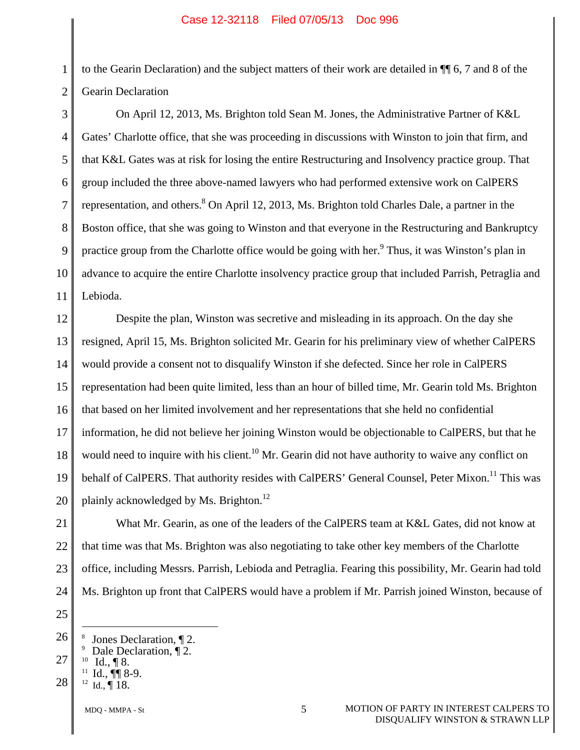1 2 to the Gearin Declaration) and the subject matters of their work are detailed in ¶¶ 6, 7 and 8 of the Gearin Declaration

3 4 5 6 7 8 9 10 11 On April 12, 2013, Ms. Brighton told Sean M. Jones, the Administrative Partner of K&L Gates' Charlotte office, that she was proceeding in discussions with Winston to join that firm, and that K&L Gates was at risk for losing the entire Restructuring and Insolvency practice group. That group included the three above-named lawyers who had performed extensive work on CalPERS representation, and others. <sup>8</sup> On April 12, 2013, Ms. Brighton told Charles Dale, a partner in the Boston office, that she was going to Winston and that everyone in the Restructuring and Bankruptcy practice group from the Charlotte office would be going with her.<sup>9</sup> Thus, it was Winston's plan in advance to acquire the entire Charlotte insolvency practice group that included Parrish, Petraglia and Lebioda.

12 13 14 15 16 17 18 19 20 Despite the plan, Winston was secretive and misleading in its approach. On the day she resigned, April 15, Ms. Brighton solicited Mr. Gearin for his preliminary view of whether CalPERS would provide a consent not to disqualify Winston if she defected. Since her role in CalPERS representation had been quite limited, less than an hour of billed time, Mr. Gearin told Ms. Brighton that based on her limited involvement and her representations that she held no confidential information, he did not believe her joining Winston would be objectionable to CalPERS, but that he would need to inquire with his client.<sup>10</sup> Mr. Gearin did not have authority to waive any conflict on behalf of CalPERS. That authority resides with CalPERS' General Counsel, Peter Mixon.<sup>11</sup> This was plainly acknowledged by Ms. Brighton.<sup>12</sup>

21 22 23 24 What Mr. Gearin, as one of the leaders of the CalPERS team at K&L Gates, did not know at that time was that Ms. Brighton was also negotiating to take other key members of the Charlotte office, including Messrs. Parrish, Lebioda and Petraglia. Fearing this possibility, Mr. Gearin had told Ms. Brighton up front that CalPERS would have a problem if Mr. Parrish joined Winston, because of

25

- 
- 28 <sup>9</sup> Dale Declaration,  $\P$ <sup>2</sup>.<br><sup>10</sup> Id.,  $\P$  8.<br><sup>11</sup> Id.,  $\P$  8-9.<br><sup>12</sup> Id.,  $\P$  18.

<sup>26</sup>  8 Jones Declaration,  $\P$  2.

<sup>27</sup>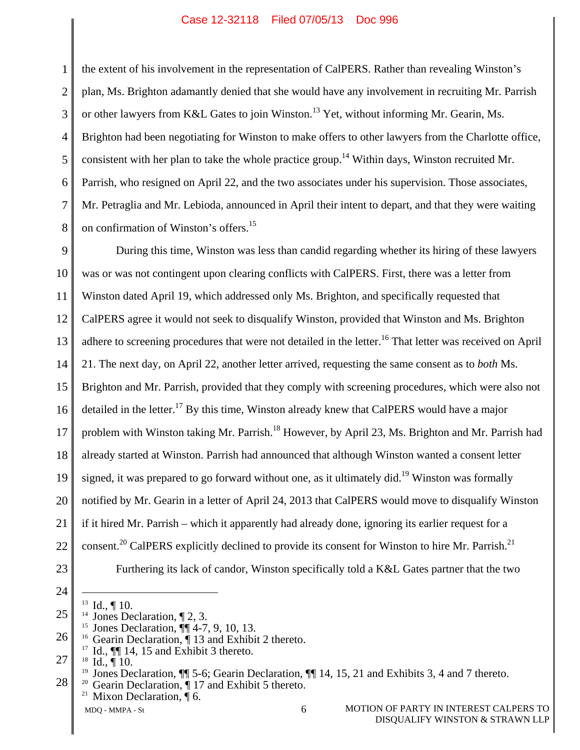1 2 3 4 5 6 7 8 the extent of his involvement in the representation of CalPERS. Rather than revealing Winston's plan, Ms. Brighton adamantly denied that she would have any involvement in recruiting Mr. Parrish or other lawyers from K&L Gates to join Winston.<sup>13</sup> Yet, without informing Mr. Gearin, Ms. Brighton had been negotiating for Winston to make offers to other lawyers from the Charlotte office, consistent with her plan to take the whole practice group.<sup>14</sup> Within days, Winston recruited Mr. Parrish, who resigned on April 22, and the two associates under his supervision. Those associates, Mr. Petraglia and Mr. Lebioda, announced in April their intent to depart, and that they were waiting on confirmation of Winston's offers.15

9 10 11 12 13 14 15 16 17 18 19 20 21 22 23 During this time, Winston was less than candid regarding whether its hiring of these lawyers was or was not contingent upon clearing conflicts with CalPERS. First, there was a letter from Winston dated April 19, which addressed only Ms. Brighton, and specifically requested that CalPERS agree it would not seek to disqualify Winston, provided that Winston and Ms. Brighton adhere to screening procedures that were not detailed in the letter.<sup>16</sup> That letter was received on April 21. The next day, on April 22, another letter arrived, requesting the same consent as to *both* Ms. Brighton and Mr. Parrish, provided that they comply with screening procedures, which were also not detailed in the letter.<sup>17</sup> By this time, Winston already knew that CalPERS would have a major problem with Winston taking Mr. Parrish.<sup>18</sup> However, by April 23, Ms. Brighton and Mr. Parrish had already started at Winston. Parrish had announced that although Winston wanted a consent letter signed, it was prepared to go forward without one, as it ultimately did.<sup>19</sup> Winston was formally notified by Mr. Gearin in a letter of April 24, 2013 that CalPERS would move to disqualify Winston if it hired Mr. Parrish – which it apparently had already done, ignoring its earlier request for a consent.<sup>20</sup> CalPERS explicitly declined to provide its consent for Winston to hire Mr. Parrish.<sup>21</sup> Furthering its lack of candor, Winston specifically told a K&L Gates partner that the two

24

- 25
	-
- 26
	-
- 27

- -

<sup>28</sup>  <sup>13</sup> Id.,  $\P$  10.<br><sup>14</sup> Jones Declaration,  $\P$  2, 3.<br><sup>15</sup> Jones Declaration,  $\P$  4-7, 9, 10, 13.<br><sup>16</sup> Gearin Declaration,  $\P$  13 and Exhibit 2 thereto.<br><sup>17</sup> Id.,  $\P$  14, 15 and Exhibit 3 thereto.<br><sup>18</sup> Id.,  $\P$  10.<br><sup>19</sup> Jon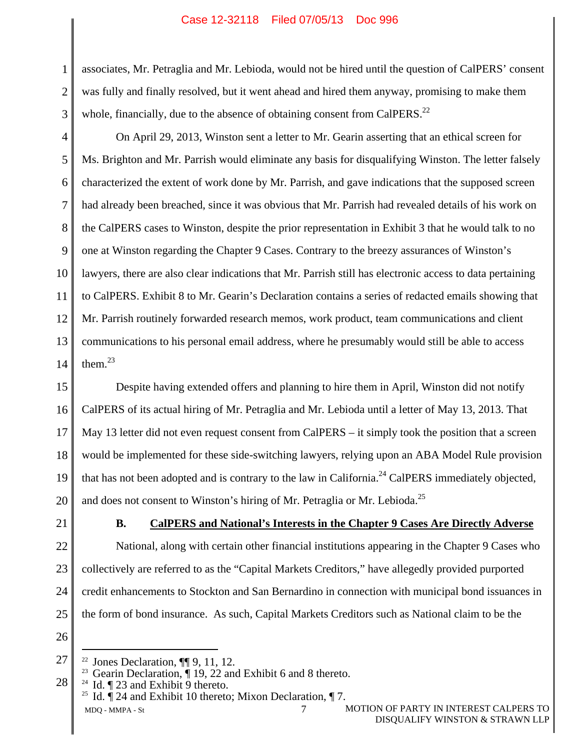1 2 3 associates, Mr. Petraglia and Mr. Lebioda, would not be hired until the question of CalPERS' consent was fully and finally resolved, but it went ahead and hired them anyway, promising to make them whole, financially, due to the absence of obtaining consent from CalPERS. $^{22}$ 

4 5 6 7 8 9 10 11 12 13 14 On April 29, 2013, Winston sent a letter to Mr. Gearin asserting that an ethical screen for Ms. Brighton and Mr. Parrish would eliminate any basis for disqualifying Winston. The letter falsely characterized the extent of work done by Mr. Parrish, and gave indications that the supposed screen had already been breached, since it was obvious that Mr. Parrish had revealed details of his work on the CalPERS cases to Winston, despite the prior representation in Exhibit 3 that he would talk to no one at Winston regarding the Chapter 9 Cases. Contrary to the breezy assurances of Winston's lawyers, there are also clear indications that Mr. Parrish still has electronic access to data pertaining to CalPERS. Exhibit 8 to Mr. Gearin's Declaration contains a series of redacted emails showing that Mr. Parrish routinely forwarded research memos, work product, team communications and client communications to his personal email address, where he presumably would still be able to access them.23

15 16 17 18 19 20 Despite having extended offers and planning to hire them in April, Winston did not notify CalPERS of its actual hiring of Mr. Petraglia and Mr. Lebioda until a letter of May 13, 2013. That May 13 letter did not even request consent from CalPERS – it simply took the position that a screen would be implemented for these side-switching lawyers, relying upon an ABA Model Rule provision that has not been adopted and is contrary to the law in California.<sup>24</sup> CalPERS immediately objected, and does not consent to Winston's hiring of Mr. Petraglia or Mr. Lebioda.<sup>25</sup>

21

### **B. CalPERS and National's Interests in the Chapter 9 Cases Are Directly Adverse**

22 23 24 25 National, along with certain other financial institutions appearing in the Chapter 9 Cases who collectively are referred to as the "Capital Markets Creditors," have allegedly provided purported credit enhancements to Stockton and San Bernardino in connection with municipal bond issuances in the form of bond insurance. As such, Capital Markets Creditors such as National claim to be the

26

<sup>27</sup> 

<sup>28</sup> 

MDO - MMPA - St 7 MOTION OF PARTY IN INTEREST CALPERS TO <sup>22</sup> Jones Declaration,  $\P$  9, 11, 12.<br><sup>23</sup> Gearin Declaration,  $\P$  19, 22 and Exhibit 6 and 8 thereto.<br><sup>24</sup> Id.  $\P$  23 and Exhibit 10 thereto; Mixon Declaration,  $\P$  7.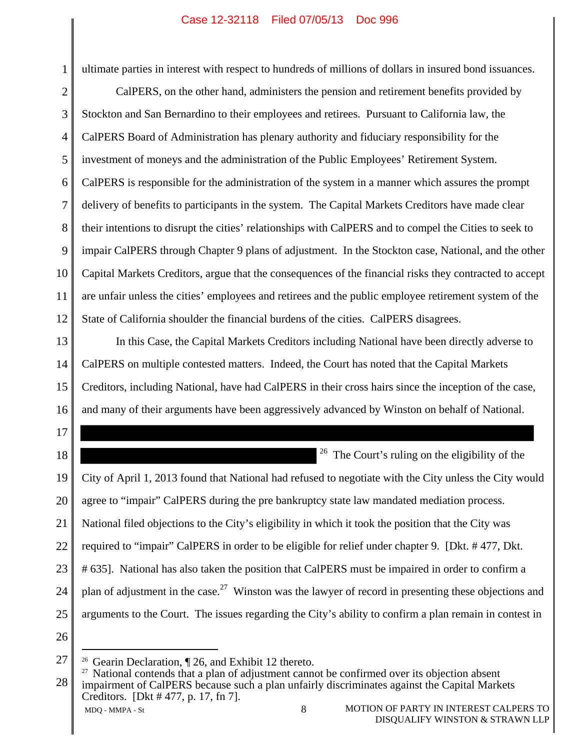ultimate parties in interest with respect to hundreds of millions of dollars in insured bond issuances.

2 3 4 5 6 7 8 9 10 11 12 CalPERS, on the other hand, administers the pension and retirement benefits provided by Stockton and San Bernardino to their employees and retirees. Pursuant to California law, the CalPERS Board of Administration has plenary authority and fiduciary responsibility for the investment of moneys and the administration of the Public Employees' Retirement System. CalPERS is responsible for the administration of the system in a manner which assures the prompt delivery of benefits to participants in the system. The Capital Markets Creditors have made clear their intentions to disrupt the cities' relationships with CalPERS and to compel the Cities to seek to impair CalPERS through Chapter 9 plans of adjustment. In the Stockton case, National, and the other Capital Markets Creditors, argue that the consequences of the financial risks they contracted to accept are unfair unless the cities' employees and retirees and the public employee retirement system of the State of California shoulder the financial burdens of the cities. CalPERS disagrees.

13 14 15 16 In this Case, the Capital Markets Creditors including National have been directly adverse to CalPERS on multiple contested matters. Indeed, the Court has noted that the Capital Markets Creditors, including National, have had CalPERS in their cross hairs since the inception of the case, and many of their arguments have been aggressively advanced by Winston on behalf of National.

18 19 20 21 22 23 24 25  $26$  The Court's ruling on the eligibility of the City of April 1, 2013 found that National had refused to negotiate with the City unless the City would agree to "impair" CalPERS during the pre bankruptcy state law mandated mediation process. National filed objections to the City's eligibility in which it took the position that the City was required to "impair" CalPERS in order to be eligible for relief under chapter 9. [Dkt. # 477, Dkt. # 635]. National has also taken the position that CalPERS must be impaired in order to confirm a plan of adjustment in the case.<sup>27</sup> Winston was the lawyer of record in presenting these objections and arguments to the Court. The issues regarding the City's ability to confirm a plan remain in contest in

26

27

17

MDO - MMPA - St 8 MOTION OF PARTY IN INTEREST CALPERS TO 28 <sup>26</sup> Gearin Declaration,  $\P$  26, and Exhibit 12 thereto.<br><sup>27</sup> National contends that a plan of adjustment cannot be confirmed over its objection absent impairment of CalPERS because such a plan unfairly discriminates against the Capital Markets Creditors. [Dkt # 477, p. 17, fn 7].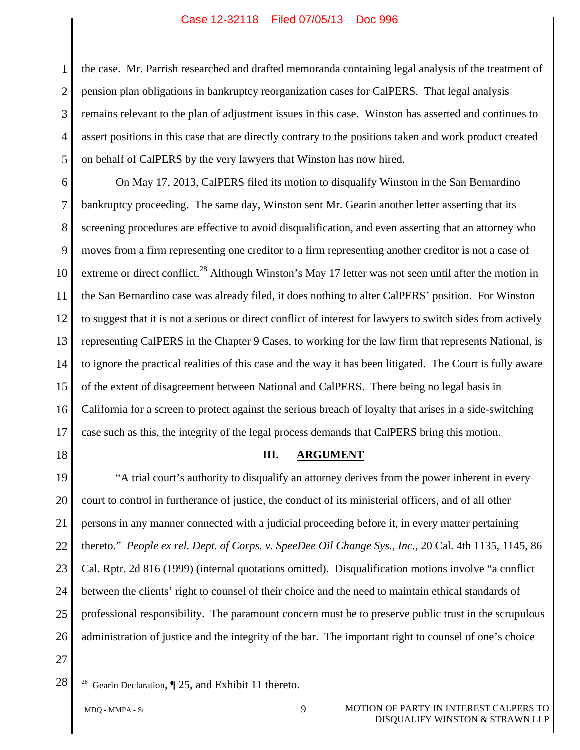1 2 3 4 5 the case. Mr. Parrish researched and drafted memoranda containing legal analysis of the treatment of pension plan obligations in bankruptcy reorganization cases for CalPERS. That legal analysis remains relevant to the plan of adjustment issues in this case. Winston has asserted and continues to assert positions in this case that are directly contrary to the positions taken and work product created on behalf of CalPERS by the very lawyers that Winston has now hired.

6 7 8 9 10 11 12 13 14 15 16 17 On May 17, 2013, CalPERS filed its motion to disqualify Winston in the San Bernardino bankruptcy proceeding. The same day, Winston sent Mr. Gearin another letter asserting that its screening procedures are effective to avoid disqualification, and even asserting that an attorney who moves from a firm representing one creditor to a firm representing another creditor is not a case of extreme or direct conflict.<sup>28</sup> Although Winston's May 17 letter was not seen until after the motion in the San Bernardino case was already filed, it does nothing to alter CalPERS' position. For Winston to suggest that it is not a serious or direct conflict of interest for lawyers to switch sides from actively representing CalPERS in the Chapter 9 Cases, to working for the law firm that represents National, is to ignore the practical realities of this case and the way it has been litigated. The Court is fully aware of the extent of disagreement between National and CalPERS. There being no legal basis in California for a screen to protect against the serious breach of loyalty that arises in a side-switching case such as this, the integrity of the legal process demands that CalPERS bring this motion.

18

#### **III. ARGUMENT**

19 20 21 22 23 24 25 26 "A trial court's authority to disqualify an attorney derives from the power inherent in every court to control in furtherance of justice, the conduct of its ministerial officers, and of all other persons in any manner connected with a judicial proceeding before it, in every matter pertaining thereto." *People ex rel. Dept. of Corps. v. SpeeDee Oil Change Sys., Inc.*, 20 Cal. 4th 1135, 1145, 86 Cal. Rptr. 2d 816 (1999) (internal quotations omitted). Disqualification motions involve "a conflict between the clients' right to counsel of their choice and the need to maintain ethical standards of professional responsibility. The paramount concern must be to preserve public trust in the scrupulous administration of justice and the integrity of the bar. The important right to counsel of one's choice

27 28

<sup>&</sup>lt;sup>28</sup> Gearin Declaration,  $\P$  25, and Exhibit 11 thereto.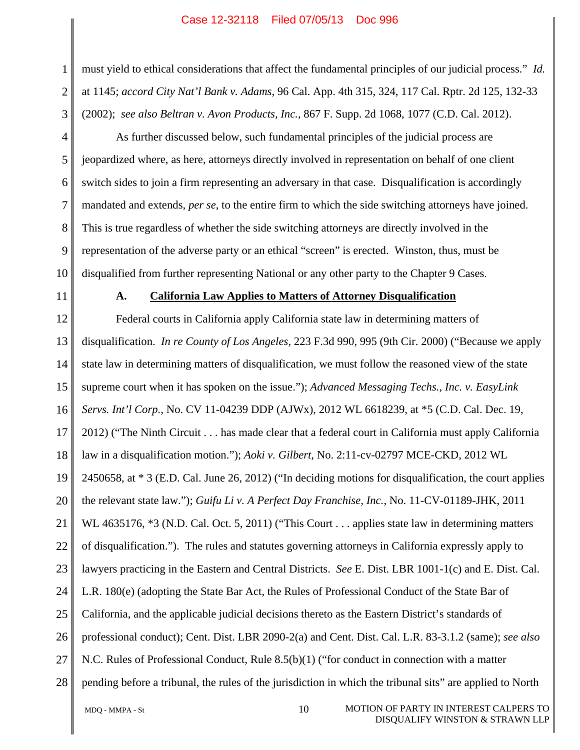must yield to ethical considerations that affect the fundamental principles of our judicial process." *Id.* at 1145; *accord City Nat'l Bank v. Adams*, 96 Cal. App. 4th 315, 324, 117 Cal. Rptr. 2d 125, 132-33 (2002); *see also Beltran v. Avon Products, Inc.*, 867 F. Supp. 2d 1068, 1077 (C.D. Cal. 2012).

As further discussed below, such fundamental principles of the judicial process are jeopardized where, as here, attorneys directly involved in representation on behalf of one client switch sides to join a firm representing an adversary in that case. Disqualification is accordingly mandated and extends, *per se*, to the entire firm to which the side switching attorneys have joined. This is true regardless of whether the side switching attorneys are directly involved in the representation of the adverse party or an ethical "screen" is erected. Winston, thus, must be disqualified from further representing National or any other party to the Chapter 9 Cases.

11

10

1

2

3

4

5

6

7

8

9

## **A. California Law Applies to Matters of Attorney Disqualification**

12 13 14 15 16 17 18 19 20 21 22 23 24 25 26 27 28 Federal courts in California apply California state law in determining matters of disqualification. *In re County of Los Angeles*, 223 F.3d 990, 995 (9th Cir. 2000) ("Because we apply state law in determining matters of disqualification, we must follow the reasoned view of the state supreme court when it has spoken on the issue."); *Advanced Messaging Techs., Inc. v. EasyLink Servs. Int'l Corp.*, No. CV 11-04239 DDP (AJWx), 2012 WL 6618239, at \*5 (C.D. Cal. Dec. 19, 2012) ("The Ninth Circuit . . . has made clear that a federal court in California must apply California law in a disqualification motion."); *Aoki v. Gilbert*, No. 2:11-cv-02797 MCE-CKD, 2012 WL 2450658, at \* 3 (E.D. Cal. June 26, 2012) ("In deciding motions for disqualification, the court applies the relevant state law."); *Guifu Li v. A Perfect Day Franchise, Inc.*, No. 11-CV-01189-JHK, 2011 WL 4635176,  $*3$  (N.D. Cal. Oct. 5, 2011) ("This Court . . . applies state law in determining matters of disqualification."). The rules and statutes governing attorneys in California expressly apply to lawyers practicing in the Eastern and Central Districts. *See* E. Dist. LBR 1001-1(c) and E. Dist. Cal. L.R. 180(e) (adopting the State Bar Act, the Rules of Professional Conduct of the State Bar of California, and the applicable judicial decisions thereto as the Eastern District's standards of professional conduct); Cent. Dist. LBR 2090-2(a) and Cent. Dist. Cal. L.R. 83-3.1.2 (same); *see also* N.C. Rules of Professional Conduct, Rule 8.5(b)(1) ("for conduct in connection with a matter pending before a tribunal, the rules of the jurisdiction in which the tribunal sits" are applied to North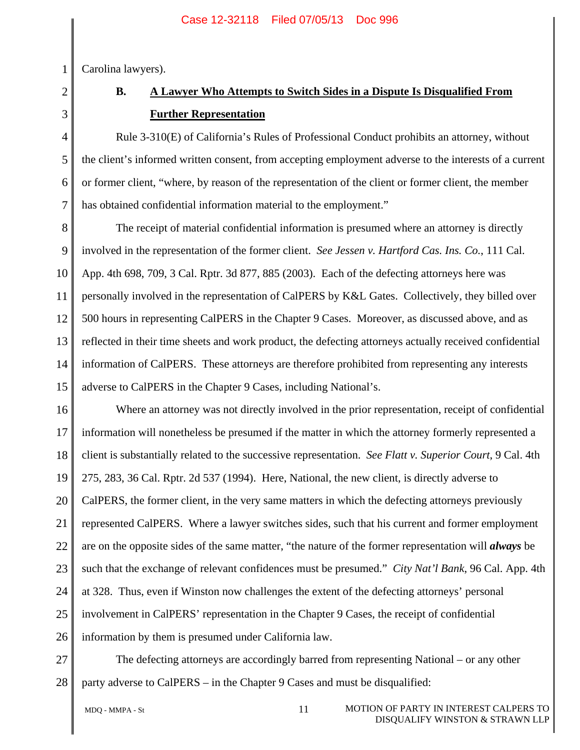Carolina lawyers).

# 2 3 4

5

6

7

1

# **B. A Lawyer Who Attempts to Switch Sides in a Dispute Is Disqualified From Further Representation**

Rule 3-310(E) of California's Rules of Professional Conduct prohibits an attorney, without the client's informed written consent, from accepting employment adverse to the interests of a current or former client, "where, by reason of the representation of the client or former client, the member has obtained confidential information material to the employment."

8 9 10 11 12 13 14 15 The receipt of material confidential information is presumed where an attorney is directly involved in the representation of the former client. *See Jessen v. Hartford Cas. Ins. Co.*, 111 Cal. App. 4th 698, 709, 3 Cal. Rptr. 3d 877, 885 (2003). Each of the defecting attorneys here was personally involved in the representation of CalPERS by K&L Gates. Collectively, they billed over 500 hours in representing CalPERS in the Chapter 9 Cases. Moreover, as discussed above, and as reflected in their time sheets and work product, the defecting attorneys actually received confidential information of CalPERS. These attorneys are therefore prohibited from representing any interests adverse to CalPERS in the Chapter 9 Cases, including National's.

16 17 18 19 20 21 22 23 24 25 26 Where an attorney was not directly involved in the prior representation, receipt of confidential information will nonetheless be presumed if the matter in which the attorney formerly represented a client is substantially related to the successive representation. *See Flatt v. Superior Court*, 9 Cal. 4th 275, 283, 36 Cal. Rptr. 2d 537 (1994). Here, National, the new client, is directly adverse to CalPERS, the former client, in the very same matters in which the defecting attorneys previously represented CalPERS. Where a lawyer switches sides, such that his current and former employment are on the opposite sides of the same matter, "the nature of the former representation will *always* be such that the exchange of relevant confidences must be presumed." *City Nat'l Bank*, 96 Cal. App. 4th at 328. Thus, even if Winston now challenges the extent of the defecting attorneys' personal involvement in CalPERS' representation in the Chapter 9 Cases, the receipt of confidential information by them is presumed under California law.

27 28 The defecting attorneys are accordingly barred from representing National – or any other party adverse to CalPERS – in the Chapter 9 Cases and must be disqualified:

MDO - MMPA - St 11 MOTION OF PARTY IN INTEREST CALPERS TO DISQUALIFY WINSTON & STRAWN LLP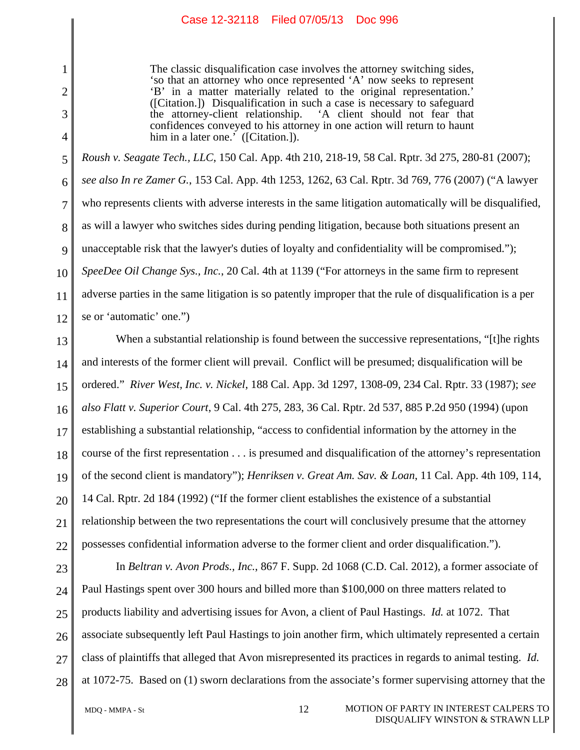The classic disqualification case involves the attorney switching sides, 'so that an attorney who once represented 'A' now seeks to represent 'B' in a matter materially related to the original representation.' ([Citation.]) Disqualification in such a case is necessary to safeguard 'A client should not fear that confidences conveyed to his attorney in one action will return to haunt him in a later one.' ([Citation.]).

5 6 7 8 9 10 11 12 *Roush v. Seagate Tech., LLC*, 150 Cal. App. 4th 210, 218-19, 58 Cal. Rptr. 3d 275, 280-81 (2007); *see also In re Zamer G.*, 153 Cal. App. 4th 1253, 1262, 63 Cal. Rptr. 3d 769, 776 (2007) ("A lawyer who represents clients with adverse interests in the same litigation automatically will be disqualified, as will a lawyer who switches sides during pending litigation, because both situations present an unacceptable risk that the lawyer's duties of loyalty and confidentiality will be compromised."); *SpeeDee Oil Change Sys., Inc.*, 20 Cal. 4th at 1139 ("For attorneys in the same firm to represent adverse parties in the same litigation is so patently improper that the rule of disqualification is a per se or 'automatic' one.")

13 14 15 16 17 18 19 20 21 22 When a substantial relationship is found between the successive representations, "[t]he rights and interests of the former client will prevail. Conflict will be presumed; disqualification will be ordered." *River West, Inc. v. Nickel*, 188 Cal. App. 3d 1297, 1308-09, 234 Cal. Rptr. 33 (1987); *see also Flatt v. Superior Court*, 9 Cal. 4th 275, 283, 36 Cal. Rptr. 2d 537, 885 P.2d 950 (1994) (upon establishing a substantial relationship, "access to confidential information by the attorney in the course of the first representation . . . is presumed and disqualification of the attorney's representation of the second client is mandatory"); *Henriksen v. Great Am. Sav. & Loan*, 11 Cal. App. 4th 109, 114, 14 Cal. Rptr. 2d 184 (1992) ("If the former client establishes the existence of a substantial relationship between the two representations the court will conclusively presume that the attorney possesses confidential information adverse to the former client and order disqualification.").

23 24 25 26 27 28 In *Beltran v. Avon Prods., Inc.*, 867 F. Supp. 2d 1068 (C.D. Cal. 2012), a former associate of Paul Hastings spent over 300 hours and billed more than \$100,000 on three matters related to products liability and advertising issues for Avon, a client of Paul Hastings. *Id.* at 1072. That associate subsequently left Paul Hastings to join another firm, which ultimately represented a certain class of plaintiffs that alleged that Avon misrepresented its practices in regards to animal testing. *Id.* at 1072-75. Based on (1) sworn declarations from the associate's former supervising attorney that the

1

2

3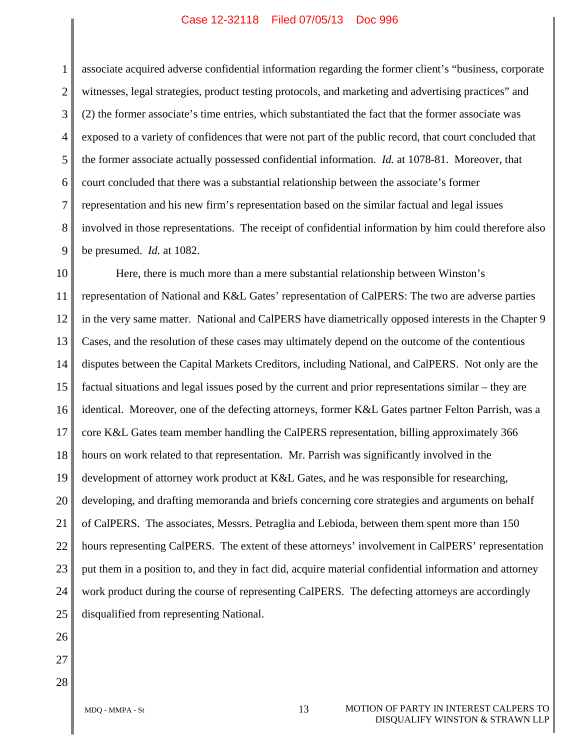1 2 3 4 5 6 7 8 9 associate acquired adverse confidential information regarding the former client's "business, corporate witnesses, legal strategies, product testing protocols, and marketing and advertising practices" and (2) the former associate's time entries, which substantiated the fact that the former associate was exposed to a variety of confidences that were not part of the public record, that court concluded that the former associate actually possessed confidential information. *Id.* at 1078-81. Moreover, that court concluded that there was a substantial relationship between the associate's former representation and his new firm's representation based on the similar factual and legal issues involved in those representations. The receipt of confidential information by him could therefore also be presumed. *Id.* at 1082.

10 11 12 13 14 15 16 17 18 19 20 21 22 23 24 25 Here, there is much more than a mere substantial relationship between Winston's representation of National and K&L Gates' representation of CalPERS: The two are adverse parties in the very same matter. National and CalPERS have diametrically opposed interests in the Chapter 9 Cases, and the resolution of these cases may ultimately depend on the outcome of the contentious disputes between the Capital Markets Creditors, including National, and CalPERS. Not only are the factual situations and legal issues posed by the current and prior representations similar – they are identical. Moreover, one of the defecting attorneys, former K&L Gates partner Felton Parrish, was a core K&L Gates team member handling the CalPERS representation, billing approximately 366 hours on work related to that representation. Mr. Parrish was significantly involved in the development of attorney work product at K&L Gates, and he was responsible for researching, developing, and drafting memoranda and briefs concerning core strategies and arguments on behalf of CalPERS. The associates, Messrs. Petraglia and Lebioda, between them spent more than 150 hours representing CalPERS. The extent of these attorneys' involvement in CalPERS' representation put them in a position to, and they in fact did, acquire material confidential information and attorney work product during the course of representing CalPERS. The defecting attorneys are accordingly disqualified from representing National.

26 27 28

MDO - MMPA - St 13 MOTION OF PARTY IN INTEREST CALPERS TO DISQUALIFY WINSTON & STRAWN LLP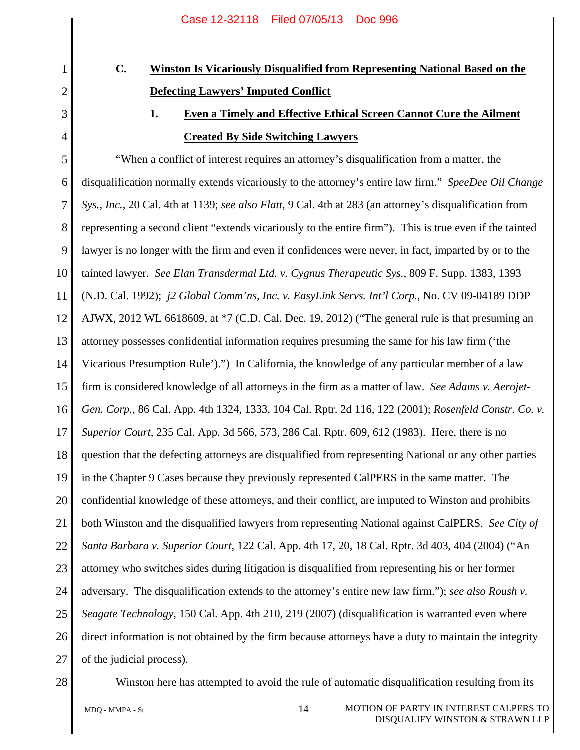# **C. Winston Is Vicariously Disqualified from Representing National Based on the Defecting Lawyers' Imputed Conflict**

1

2

3

4

# **1. Even a Timely and Effective Ethical Screen Cannot Cure the Ailment Created By Side Switching Lawyers**

5 6 7 8 9 10 11 12 13 14 15 16 17 18 19 20 21 22 23 24 25 26 27 "When a conflict of interest requires an attorney's disqualification from a matter, the disqualification normally extends vicariously to the attorney's entire law firm." *SpeeDee Oil Change Sys., Inc.*, 20 Cal. 4th at 1139; *see also Flatt*, 9 Cal. 4th at 283 (an attorney's disqualification from representing a second client "extends vicariously to the entire firm"). This is true even if the tainted lawyer is no longer with the firm and even if confidences were never, in fact, imparted by or to the tainted lawyer. *See Elan Transdermal Ltd. v. Cygnus Therapeutic Sys.*, 809 F. Supp. 1383, 1393 (N.D. Cal. 1992); *j2 Global Comm'ns, Inc. v. EasyLink Servs. Int'l Corp.*, No. CV 09-04189 DDP AJWX,  $2012$  WL 6618609, at  $*7$  (C.D. Cal. Dec. 19, 2012) ("The general rule is that presuming an attorney possesses confidential information requires presuming the same for his law firm ('the Vicarious Presumption Rule').") In California, the knowledge of any particular member of a law firm is considered knowledge of all attorneys in the firm as a matter of law. *See Adams v. Aerojet-Gen. Corp.*, 86 Cal. App. 4th 1324, 1333, 104 Cal. Rptr. 2d 116, 122 (2001); *Rosenfeld Constr. Co. v. Superior Court*, 235 Cal. App. 3d 566, 573, 286 Cal. Rptr. 609, 612 (1983). Here, there is no question that the defecting attorneys are disqualified from representing National or any other parties in the Chapter 9 Cases because they previously represented CalPERS in the same matter. The confidential knowledge of these attorneys, and their conflict, are imputed to Winston and prohibits both Winston and the disqualified lawyers from representing National against CalPERS. *See City of Santa Barbara v. Superior Court*, 122 Cal. App. 4th 17, 20, 18 Cal. Rptr. 3d 403, 404 (2004) ("An attorney who switches sides during litigation is disqualified from representing his or her former adversary. The disqualification extends to the attorney's entire new law firm."); *see also Roush v. Seagate Technology*, 150 Cal. App. 4th 210, 219 (2007) (disqualification is warranted even where direct information is not obtained by the firm because attorneys have a duty to maintain the integrity of the judicial process).



Winston here has attempted to avoid the rule of automatic disqualification resulting from its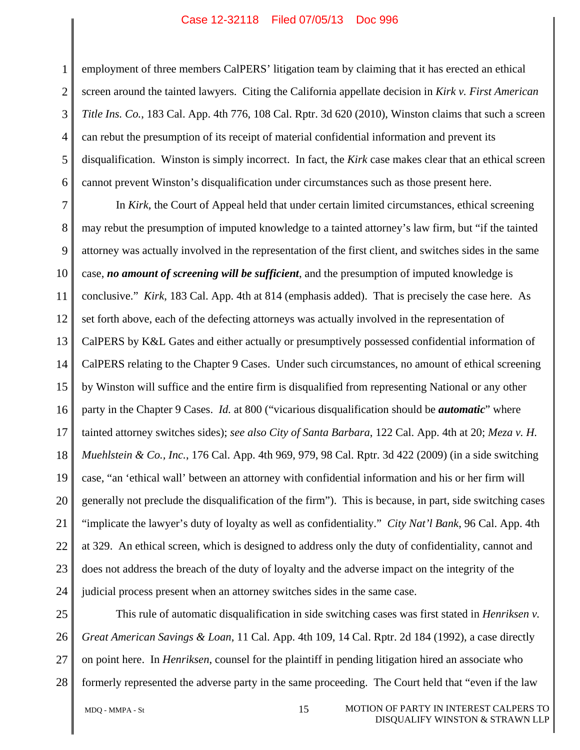1 2 3 4 5 6 employment of three members CalPERS' litigation team by claiming that it has erected an ethical screen around the tainted lawyers. Citing the California appellate decision in *Kirk v. First American Title Ins. Co.*, 183 Cal. App. 4th 776, 108 Cal. Rptr. 3d 620 (2010), Winston claims that such a screen can rebut the presumption of its receipt of material confidential information and prevent its disqualification. Winston is simply incorrect. In fact, the *Kirk* case makes clear that an ethical screen cannot prevent Winston's disqualification under circumstances such as those present here.

7 8 9 10 11 12 13 14 15 16 17 18 19 20 21 22 23 24 In *Kirk*, the Court of Appeal held that under certain limited circumstances, ethical screening may rebut the presumption of imputed knowledge to a tainted attorney's law firm, but "if the tainted attorney was actually involved in the representation of the first client, and switches sides in the same case, *no amount of screening will be sufficient*, and the presumption of imputed knowledge is conclusive." *Kirk*, 183 Cal. App. 4th at 814 (emphasis added). That is precisely the case here. As set forth above, each of the defecting attorneys was actually involved in the representation of CalPERS by K&L Gates and either actually or presumptively possessed confidential information of CalPERS relating to the Chapter 9 Cases. Under such circumstances, no amount of ethical screening by Winston will suffice and the entire firm is disqualified from representing National or any other party in the Chapter 9 Cases. *Id.* at 800 ("vicarious disqualification should be *automatic*" where tainted attorney switches sides); *see also City of Santa Barbara*, 122 Cal. App. 4th at 20; *Meza v. H. Muehlstein & Co., Inc.*, 176 Cal. App. 4th 969, 979, 98 Cal. Rptr. 3d 422 (2009) (in a side switching case, "an 'ethical wall' between an attorney with confidential information and his or her firm will generally not preclude the disqualification of the firm"). This is because, in part, side switching cases "implicate the lawyer's duty of loyalty as well as confidentiality." *City Nat'l Bank*, 96 Cal. App. 4th at 329. An ethical screen, which is designed to address only the duty of confidentiality, cannot and does not address the breach of the duty of loyalty and the adverse impact on the integrity of the judicial process present when an attorney switches sides in the same case.

25 26 27 28 This rule of automatic disqualification in side switching cases was first stated in *Henriksen v. Great American Savings & Loan*, 11 Cal. App. 4th 109, 14 Cal. Rptr. 2d 184 (1992), a case directly on point here. In *Henriksen*, counsel for the plaintiff in pending litigation hired an associate who formerly represented the adverse party in the same proceeding. The Court held that "even if the law

MDO - MMPA - St 15 MOTION OF PARTY IN INTEREST CALPERS TO DISQUALIFY WINSTON & STRAWN LLP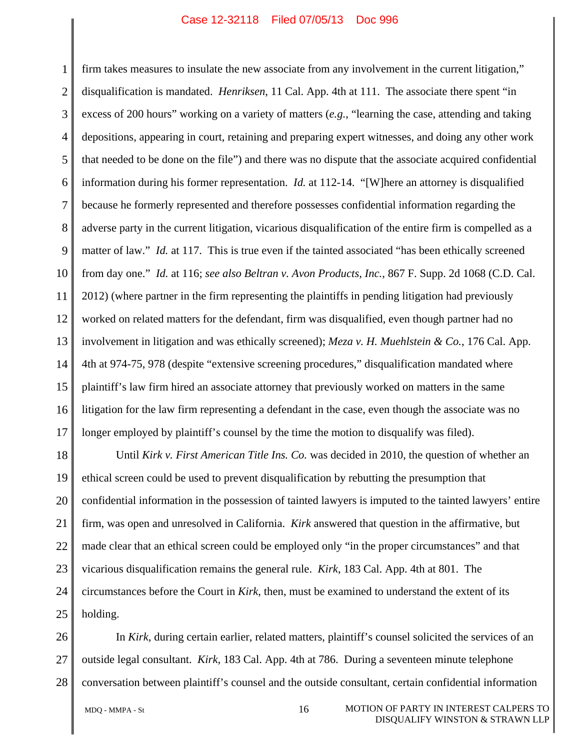1 2 3 4 5 6 7 8 9 10 11 12 13 14 15 16 17 firm takes measures to insulate the new associate from any involvement in the current litigation," disqualification is mandated. *Henriksen*, 11 Cal. App. 4th at 111. The associate there spent "in excess of 200 hours" working on a variety of matters (*e.g.*, "learning the case, attending and taking depositions, appearing in court, retaining and preparing expert witnesses, and doing any other work that needed to be done on the file") and there was no dispute that the associate acquired confidential information during his former representation. *Id.* at 112-14. "[W]here an attorney is disqualified because he formerly represented and therefore possesses confidential information regarding the adverse party in the current litigation, vicarious disqualification of the entire firm is compelled as a matter of law." *Id.* at 117. This is true even if the tainted associated "has been ethically screened from day one." *Id.* at 116; *see also Beltran v. Avon Products, Inc.*, 867 F. Supp. 2d 1068 (C.D. Cal. 2012) (where partner in the firm representing the plaintiffs in pending litigation had previously worked on related matters for the defendant, firm was disqualified, even though partner had no involvement in litigation and was ethically screened); *Meza v. H. Muehlstein & Co.*, 176 Cal. App. 4th at 974-75, 978 (despite "extensive screening procedures," disqualification mandated where plaintiff's law firm hired an associate attorney that previously worked on matters in the same litigation for the law firm representing a defendant in the case, even though the associate was no longer employed by plaintiff's counsel by the time the motion to disqualify was filed).

18 19 20 21 22 23 24 25 Until *Kirk v. First American Title Ins. Co.* was decided in 2010, the question of whether an ethical screen could be used to prevent disqualification by rebutting the presumption that confidential information in the possession of tainted lawyers is imputed to the tainted lawyers' entire firm, was open and unresolved in California. *Kirk* answered that question in the affirmative, but made clear that an ethical screen could be employed only "in the proper circumstances" and that vicarious disqualification remains the general rule. *Kirk*, 183 Cal. App. 4th at 801. The circumstances before the Court in *Kirk*, then, must be examined to understand the extent of its holding.

26 27 28 In *Kirk*, during certain earlier, related matters, plaintiff's counsel solicited the services of an outside legal consultant. *Kirk*, 183 Cal. App. 4th at 786. During a seventeen minute telephone conversation between plaintiff's counsel and the outside consultant, certain confidential information

MDO - MMPA - St 16 MOTION OF PARTY IN INTEREST CALPERS TO DISQUALIFY WINSTON & STRAWN LLP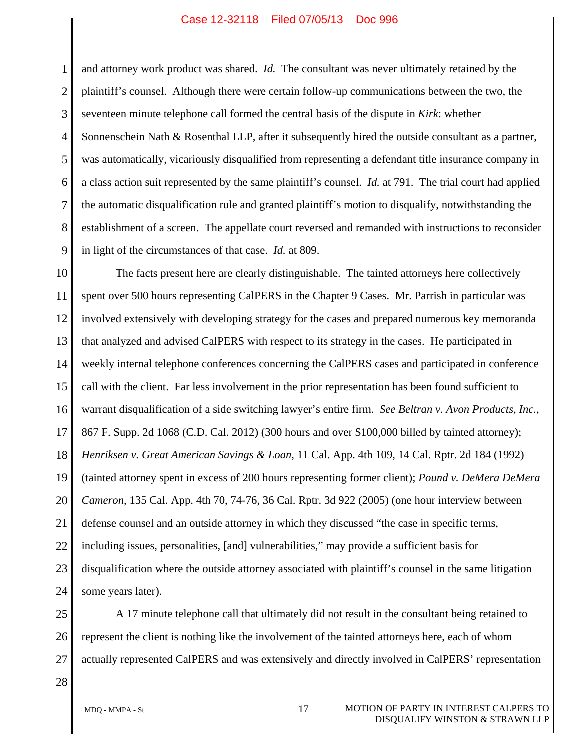1 2 3 4 5 6 7 8 9 and attorney work product was shared. *Id.* The consultant was never ultimately retained by the plaintiff's counsel. Although there were certain follow-up communications between the two, the seventeen minute telephone call formed the central basis of the dispute in *Kirk*: whether Sonnenschein Nath & Rosenthal LLP, after it subsequently hired the outside consultant as a partner, was automatically, vicariously disqualified from representing a defendant title insurance company in a class action suit represented by the same plaintiff's counsel. *Id.* at 791. The trial court had applied the automatic disqualification rule and granted plaintiff's motion to disqualify, notwithstanding the establishment of a screen. The appellate court reversed and remanded with instructions to reconsider in light of the circumstances of that case. *Id.* at 809.

10 11 12 13 14 15 16 17 18 19 20 21 22 23 24 The facts present here are clearly distinguishable. The tainted attorneys here collectively spent over 500 hours representing CalPERS in the Chapter 9 Cases. Mr. Parrish in particular was involved extensively with developing strategy for the cases and prepared numerous key memoranda that analyzed and advised CalPERS with respect to its strategy in the cases. He participated in weekly internal telephone conferences concerning the CalPERS cases and participated in conference call with the client. Far less involvement in the prior representation has been found sufficient to warrant disqualification of a side switching lawyer's entire firm. *See Beltran v. Avon Products, Inc.*, 867 F. Supp. 2d 1068 (C.D. Cal. 2012) (300 hours and over \$100,000 billed by tainted attorney); *Henriksen v. Great American Savings & Loan*, 11 Cal. App. 4th 109, 14 Cal. Rptr. 2d 184 (1992) (tainted attorney spent in excess of 200 hours representing former client); *Pound v. DeMera DeMera Cameron*, 135 Cal. App. 4th 70, 74-76, 36 Cal. Rptr. 3d 922 (2005) (one hour interview between defense counsel and an outside attorney in which they discussed "the case in specific terms, including issues, personalities, [and] vulnerabilities," may provide a sufficient basis for disqualification where the outside attorney associated with plaintiff's counsel in the same litigation some years later).

25 26 27 A 17 minute telephone call that ultimately did not result in the consultant being retained to represent the client is nothing like the involvement of the tainted attorneys here, each of whom actually represented CalPERS and was extensively and directly involved in CalPERS' representation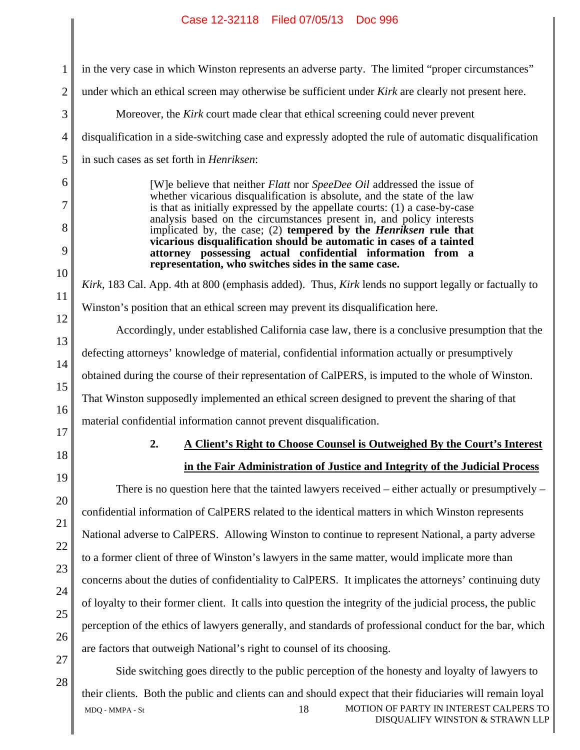| 1              | in the very case in which Winston represents an adverse party. The limited "proper circumstances"                                                                                                                                |  |  |  |  |  |
|----------------|----------------------------------------------------------------------------------------------------------------------------------------------------------------------------------------------------------------------------------|--|--|--|--|--|
| $\overline{2}$ | under which an ethical screen may otherwise be sufficient under Kirk are clearly not present here.                                                                                                                               |  |  |  |  |  |
| 3              | Moreover, the Kirk court made clear that ethical screening could never prevent                                                                                                                                                   |  |  |  |  |  |
| 4              | disqualification in a side-switching case and expressly adopted the rule of automatic disqualification                                                                                                                           |  |  |  |  |  |
| 5              | in such cases as set forth in <i>Henriksen</i> :                                                                                                                                                                                 |  |  |  |  |  |
| 6<br>7         | [W]e believe that neither Flatt nor SpeeDee Oil addressed the issue of<br>whether vicarious disqualification is absolute, and the state of the law<br>is that as initially expressed by the appellate courts: (1) a case-by-case |  |  |  |  |  |
| 8              | analysis based on the circumstances present in, and policy interests<br>implicated by, the case; (2) tempered by the <i>Henriksen</i> rule that                                                                                  |  |  |  |  |  |
| 9<br>10        | vicarious disqualification should be automatic in cases of a tainted<br>attorney possessing actual confidential information from a<br>representation, who switches sides in the same case.                                       |  |  |  |  |  |
| 11             | Kirk, 183 Cal. App. 4th at 800 (emphasis added). Thus, Kirk lends no support legally or factually to                                                                                                                             |  |  |  |  |  |
| 12             | Winston's position that an ethical screen may prevent its disqualification here.                                                                                                                                                 |  |  |  |  |  |
| 13             | Accordingly, under established California case law, there is a conclusive presumption that the                                                                                                                                   |  |  |  |  |  |
| 14             | defecting attorneys' knowledge of material, confidential information actually or presumptively                                                                                                                                   |  |  |  |  |  |
| 15             | obtained during the course of their representation of CalPERS, is imputed to the whole of Winston.                                                                                                                               |  |  |  |  |  |
| 16             | That Winston supposedly implemented an ethical screen designed to prevent the sharing of that                                                                                                                                    |  |  |  |  |  |
| 17             | material confidential information cannot prevent disqualification.                                                                                                                                                               |  |  |  |  |  |
| 18             | A Client's Right to Choose Counsel is Outweighed By the Court's Interest<br>2.                                                                                                                                                   |  |  |  |  |  |
| 19             | in the Fair Administration of Justice and Integrity of the Judicial Process                                                                                                                                                      |  |  |  |  |  |
| 20             | There is no question here that the tainted lawyers received $-$ either actually or presumptively $-$                                                                                                                             |  |  |  |  |  |
| 21             | confidential information of CalPERS related to the identical matters in which Winston represents                                                                                                                                 |  |  |  |  |  |
| 22             | National adverse to CalPERS. Allowing Winston to continue to represent National, a party adverse                                                                                                                                 |  |  |  |  |  |
| 23             | to a former client of three of Winston's lawyers in the same matter, would implicate more than                                                                                                                                   |  |  |  |  |  |
| 24             | concerns about the duties of confidentiality to CalPERS. It implicates the attorneys' continuing duty                                                                                                                            |  |  |  |  |  |
| 25             | of loyalty to their former client. It calls into question the integrity of the judicial process, the public                                                                                                                      |  |  |  |  |  |
| 26             | perception of the ethics of lawyers generally, and standards of professional conduct for the bar, which                                                                                                                          |  |  |  |  |  |
| 27             | are factors that outweigh National's right to counsel of its choosing.                                                                                                                                                           |  |  |  |  |  |
| 28             | Side switching goes directly to the public perception of the honesty and loyalty of lawyers to                                                                                                                                   |  |  |  |  |  |

MDQ - MMPA - St 18 MOTION OF PARTY IN INTEREST CALPERS TO DISQUALIFY WINSTON & STRAWN LLP their clients. Both the public and clients can and should expect that their fiduciaries will remain loyal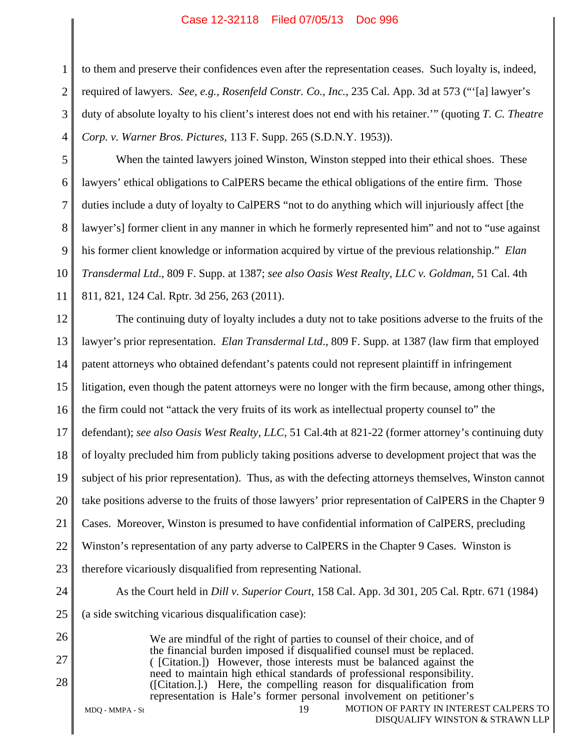1 2 3 4 to them and preserve their confidences even after the representation ceases. Such loyalty is, indeed, required of lawyers. *See, e.g., Rosenfeld Constr. Co., Inc.*, 235 Cal. App. 3d at 573 ("'[a] lawyer's duty of absolute loyalty to his client's interest does not end with his retainer.'" (quoting *T. C. Theatre Corp. v. Warner Bros. Pictures,* 113 F. Supp. 265 (S.D.N.Y. 1953)).

When the tainted lawyers joined Winston, Winston stepped into their ethical shoes. These lawyers' ethical obligations to CalPERS became the ethical obligations of the entire firm. Those duties include a duty of loyalty to CalPERS "not to do anything which will injuriously affect [the lawyer's] former client in any manner in which he formerly represented him" and not to "use against his former client knowledge or information acquired by virtue of the previous relationship." *Elan Transdermal Ltd*., 809 F. Supp. at 1387; *see also Oasis West Realty, LLC v. Goldman*, 51 Cal. 4th 811, 821, 124 Cal. Rptr. 3d 256, 263 (2011).

12 13 14 15 16 17 18 19 20 21 22 23 The continuing duty of loyalty includes a duty not to take positions adverse to the fruits of the lawyer's prior representation. *Elan Transdermal Ltd*., 809 F. Supp. at 1387 (law firm that employed patent attorneys who obtained defendant's patents could not represent plaintiff in infringement litigation, even though the patent attorneys were no longer with the firm because, among other things, the firm could not "attack the very fruits of its work as intellectual property counsel to" the defendant); *see also Oasis West Realty, LLC*, 51 Cal.4th at 821-22 (former attorney's continuing duty of loyalty precluded him from publicly taking positions adverse to development project that was the subject of his prior representation). Thus, as with the defecting attorneys themselves, Winston cannot take positions adverse to the fruits of those lawyers' prior representation of CalPERS in the Chapter 9 Cases. Moreover, Winston is presumed to have confidential information of CalPERS, precluding Winston's representation of any party adverse to CalPERS in the Chapter 9 Cases. Winston is therefore vicariously disqualified from representing National.

24

5

6

7

8

9

10

11

- 25 26
- 
- 27

28

We are mindful of the right of parties to counsel of their choice, and of the financial burden imposed if disqualified counsel must be replaced. ( [Citation.]) However, those interests must be balanced against the need to maintain high ethical standards of professional responsibility. ([Citation.].) Here, the compelling reason for disqualification from representation is Hale's former personal involvement on petitioner's

As the Court held in *Dill v. Superior Court*, 158 Cal. App. 3d 301, 205 Cal. Rptr. 671 (1984)

(a side switching vicarious disqualification case):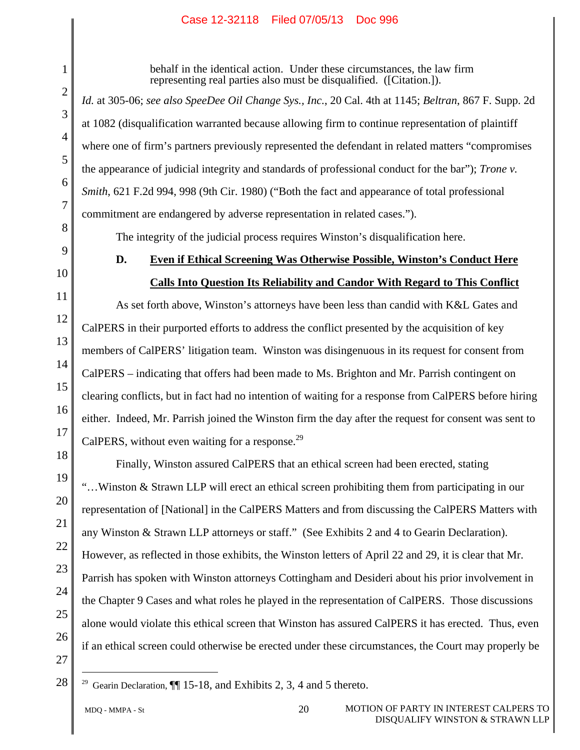behalf in the identical action. Under these circumstances, the law firm representing real parties also must be disqualified. ([Citation.]).

*Id.* at 305-06; *see also SpeeDee Oil Change Sys., Inc.*, 20 Cal. 4th at 1145; *Beltran*, 867 F. Supp. 2d at 1082 (disqualification warranted because allowing firm to continue representation of plaintiff where one of firm's partners previously represented the defendant in related matters "compromises the appearance of judicial integrity and standards of professional conduct for the bar"); *Trone v. Smith*, 621 F.2d 994, 998 (9th Cir. 1980) ("Both the fact and appearance of total professional commitment are endangered by adverse representation in related cases.").

The integrity of the judicial process requires Winston's disqualification here.

1

2

3

4

5

6

7

8

9

10

11

12

13

14

15

16

17

18

19

20

21

22

23

24

25

26

# **D. Even if Ethical Screening Was Otherwise Possible, Winston's Conduct Here Calls Into Question Its Reliability and Candor With Regard to This Conflict**

As set forth above, Winston's attorneys have been less than candid with K&L Gates and CalPERS in their purported efforts to address the conflict presented by the acquisition of key members of CalPERS' litigation team. Winston was disingenuous in its request for consent from CalPERS – indicating that offers had been made to Ms. Brighton and Mr. Parrish contingent on clearing conflicts, but in fact had no intention of waiting for a response from CalPERS before hiring either. Indeed, Mr. Parrish joined the Winston firm the day after the request for consent was sent to CalPERS, without even waiting for a response.<sup>29</sup>

Finally, Winston assured CalPERS that an ethical screen had been erected, stating "…Winston & Strawn LLP will erect an ethical screen prohibiting them from participating in our representation of [National] in the CalPERS Matters and from discussing the CalPERS Matters with any Winston & Strawn LLP attorneys or staff." (See Exhibits 2 and 4 to Gearin Declaration). However, as reflected in those exhibits, the Winston letters of April 22 and 29, it is clear that Mr. Parrish has spoken with Winston attorneys Cottingham and Desideri about his prior involvement in the Chapter 9 Cases and what roles he played in the representation of CalPERS. Those discussions alone would violate this ethical screen that Winston has assured CalPERS it has erected. Thus, even if an ethical screen could otherwise be erected under these circumstances, the Court may properly be

27 28

<sup>&</sup>lt;sup>29</sup> Gearin Declaration,  $\P\P$  15-18, and Exhibits 2, 3, 4 and 5 thereto.